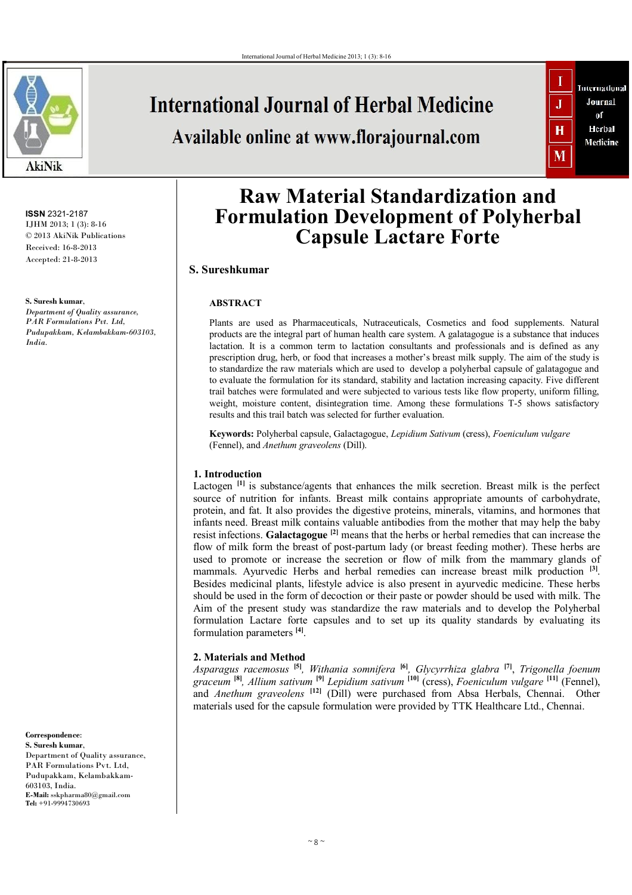

**ISSN** 2321-2187 IJHM 2013; 1 (3): 8-16 © 2013 AkiNik Publications Received: 16-8-2013 Accepted: 21-8-2013

**S. Suresh kumar**, *Department of Quality assurance, PAR Formulations Pvt. Ltd, Pudupakkam, Kelambakkam-603103, India.*

**Correspondence**: **S. Suresh kumar**, Department of Quality assurance, PAR Formulations Pvt. Ltd, Pudupakkam, Kelambakkam-603103, India. **E-Mail:** sskpharma80@gmail.com **Tel:** +91-9994730693

# **International Journal of Herbal Medicine**

# Available online at www.florajournal.com



# **Raw Material Standardization and Formulation Development of Polyherbal Capsule Lactare Forte**

# **S. Sureshkumar**

## **ABSTRACT**

Plants are used as Pharmaceuticals, Nutraceuticals, Cosmetics and food supplements. Natural products are the integral part of human health care system. A galatagogue is a substance that induces lactation. It is a common term to lactation consultants and professionals and is defined as any prescription drug, herb, or food that increases a mother's breast milk supply. The aim of the study is to standardize the raw materials which are used to develop a polyherbal capsule of galatagogue and to evaluate the formulation for its standard, stability and lactation increasing capacity. Five different trail batches were formulated and were subjected to various tests like flow property, uniform filling, weight, moisture content, disintegration time. Among these formulations T-5 shows satisfactory results and this trail batch was selected for further evaluation.

**Keywords:** Polyherbal capsule, Galactagogue, *Lepidium Sativum* (cress), *Foeniculum vulgare* (Fennel), and *Anethum graveolens* (Dill).

## **1. Introduction**

Lactogen<sup>[1]</sup> is substance/agents that enhances the milk secretion. Breast milk is the perfect source of nutrition for infants. Breast milk contains appropriate amounts of carbohydrate, protein, and fat. It also provides the digestive proteins, minerals, vitamins, and hormones that infants need. Breast milk contains valuable antibodies from the mother that may help the baby resist infections. **Galactagogue [2]** means that the herbs or herbal remedies that can increase the flow of milk form the breast of post-partum lady (or breast feeding mother). These herbs are used to promote or increase the secretion or flow of milk from the mammary glands of mammals. Ayurvedic Herbs and herbal remedies can increase breast milk production **[3]** . Besides medicinal plants, lifestyle advice is also present in ayurvedic medicine. These herbs should be used in the form of decoction or their paste or powder should be used with milk. The Aim of the present study was standardize the raw materials and to develop the Polyherbal formulation Lactare forte capsules and to set up its quality standards by evaluating its formulation parameters **[4]** .

## **2. Materials and Method**

*Asparagus racemosus* **[5]** *, Withania somnifera* **[6]** *, Glycyrrhiza glabra* **[7]** , *Trigonella foenum graceum* **[8]** *, Allium sativum* **[9]** *Lepidium sativum* **[10]** (cress), *Foeniculum vulgare* **[11]** (Fennel), and *Anethum graveolens* **[12]** (Dill) were purchased from Absa Herbals, Chennai. Other materials used for the capsule formulation were provided by TTK Healthcare Ltd., Chennai.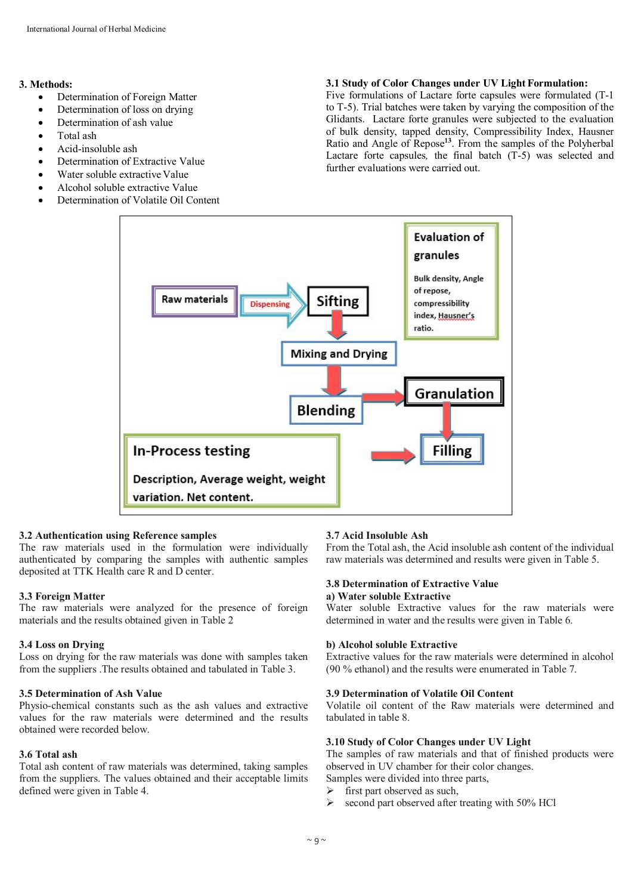### **3. Methods:**

- Determination of Foreign Matter
- Determination of loss on drying
- Determination of ash value
- Total ash
- Acid-insoluble ash
- Determination of Extractive Value
- Water soluble extractive Value
- Alcohol soluble extractive Value
- Determination of Volatile Oil Content

#### **3.1 Study of Color Changes under UV Light Formulation:**

Five formulations of Lactare forte capsules were formulated (T-1 to T-5). Trial batches were taken by varying the composition of the Glidants. Lactare forte granules were subjected to the evaluation of bulk density, tapped density, Compressibility Index, Hausner Ratio and Angle of Repose**<sup>13</sup>**. From the samples of the Polyherbal Lactare forte capsules*,* the final batch (T-5) was selected and further evaluations were carried out.



#### **3.2 Authentication using Reference samples**

The raw materials used in the formulation were individually authenticated by comparing the samples with authentic samples deposited at TTK Health care R and D center.

#### **3.3 Foreign Matter**

The raw materials were analyzed for the presence of foreign materials and the results obtained given in Table 2

#### **3.4 Loss on Drying**

Loss on drying for the raw materials was done with samples taken from the suppliers .The results obtained and tabulated in Table 3.

## **3.5 Determination of Ash Value**

Physio-chemical constants such as the ash values and extractive values for the raw materials were determined and the results obtained were recorded below.

#### **3.6 Total ash**

Total ash content of raw materials was determined, taking samples from the suppliers. The values obtained and their acceptable limits defined were given in Table 4.

## **3.7 Acid Insoluble Ash**

From the Total ash, the Acid insoluble ash content of the individual raw materials was determined and results were given in Table 5.

#### **3.8 Determination of Extractive Value a) Water soluble Extractive**

Water soluble Extractive values for the raw materials were determined in water and the results were given in Table 6.

## **b) Alcohol soluble Extractive**

Extractive values for the raw materials were determined in alcohol (90 % ethanol) and the results were enumerated in Table 7.

## **3.9 Determination of Volatile Oil Content**

Volatile oil content of the Raw materials were determined and tabulated in table 8.

#### **3.10 Study of Color Changes under UV Light**

The samples of raw materials and that of finished products were observed in UV chamber for their color changes. Samples were divided into three parts,

- $\triangleright$  first part observed as such,
- $\geq$  second part observed after treating with 50% HCl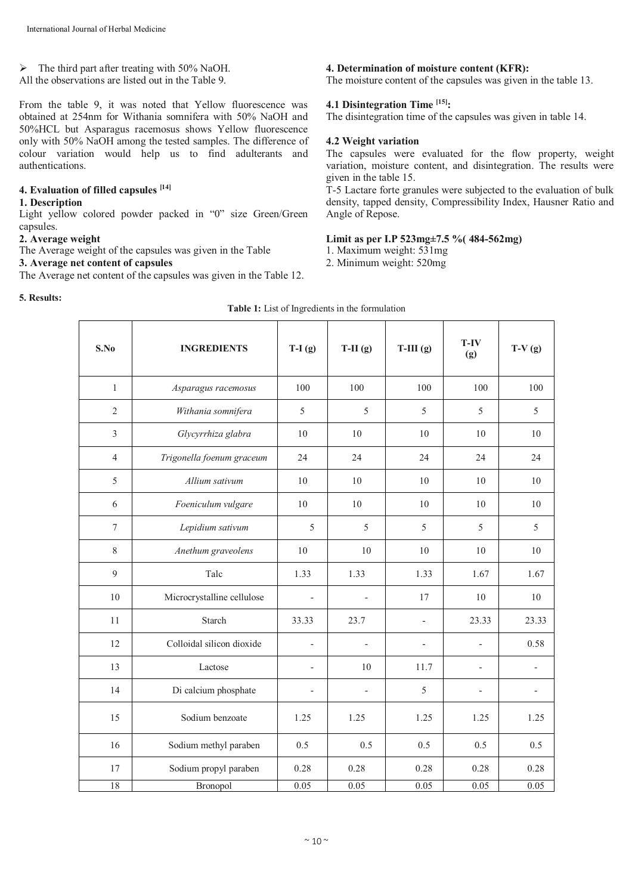## $\triangleright$  The third part after treating with 50% NaOH.

All the observations are listed out in the Table 9.

From the table 9, it was noted that Yellow fluorescence was obtained at 254nm for Withania somnifera with 50% NaOH and 50%HCL but Asparagus racemosus shows Yellow fluorescence only with 50% NaOH among the tested samples. The difference of colour variation would help us to find adulterants and authentications.

# **4. Evaluation of filled capsules [14]**

#### **1. Description**

Light yellow colored powder packed in "0" size Green/Green capsules.

## **2. Average weight**

The Average weight of the capsules was given in the Table

# **3. Average net content of capsules**

The Average net content of the capsules was given in the Table 12.

# **5. Results:**

## **4. Determination of moisture content (KFR):**

The moisture content of the capsules was given in the table 13.

# **4.1 Disintegration Time [15] :**

The disintegration time of the capsules was given in table 14.

# **4.2 Weight variation**

The capsules were evaluated for the flow property, weight variation, moisture content, and disintegration. The results were given in the table 15.

T-5 Lactare forte granules were subjected to the evaluation of bulk density, tapped density, Compressibility Index, Hausner Ratio and Angle of Repose.

# **Limit as per I.P 523mg±7.5 %( 484-562mg)**

- 1. Maximum weight: 531mg
- 2. Minimum weight: 520mg

| S.No             | <b>INGREDIENTS</b>         | $T-I(g)$                 | $T-II(g)$                | $T-III(g)$               | T-IV<br>(g)              | $T-V(g)$ |
|------------------|----------------------------|--------------------------|--------------------------|--------------------------|--------------------------|----------|
| $\mathbf{1}$     | Asparagus racemosus        | 100                      | 100                      | 100                      | 100                      | 100      |
| $\overline{2}$   | Withania somnifera         | 5                        | 5                        | 5                        | 5                        | 5        |
| $\overline{3}$   | Glycyrrhiza glabra         | 10                       | 10                       | 10                       | 10                       | 10       |
| $\overline{4}$   | Trigonella foenum graceum  | 24                       | 24                       | 24                       | 24                       | 24       |
| 5                | Allium sativum             | 10                       | 10                       | 10                       | 10                       | 10       |
| 6                | Foeniculum vulgare         | 10                       | 10                       | 10                       | 10                       | 10       |
| $\boldsymbol{7}$ | Lepidium sativum           | 5                        | 5                        | 5                        | 5                        | 5        |
| 8                | Anethum graveolens         | 10                       | 10                       | 10                       | 10                       | 10       |
| 9                | Talc                       | 1.33                     | 1.33                     | 1.33                     | 1.67                     | 1.67     |
| 10               | Microcrystalline cellulose | $\overline{\phantom{a}}$ | $\overline{\phantom{0}}$ | 17                       | 10                       | 10       |
| 11               | <b>Starch</b>              | 33.33                    | 23.7                     | $\overline{\phantom{a}}$ | 23.33                    | 23.33    |
| 12               | Colloidal silicon dioxide  | $\overline{\phantom{a}}$ |                          | $\overline{a}$           | $\overline{a}$           | 0.58     |
| 13               | Lactose                    | $\overline{\phantom{a}}$ | 10                       | 11.7                     | $\overline{\phantom{0}}$ |          |
| 14               | Di calcium phosphate       | $\overline{\phantom{a}}$ | $\overline{a}$           | 5                        | $\overline{a}$           |          |
| 15               | Sodium benzoate            | 1.25                     | 1.25                     | 1.25                     | 1.25                     | 1.25     |
| 16               | Sodium methyl paraben      | 0.5                      | 0.5                      | 0.5                      | 0.5                      | 0.5      |
| 17               | Sodium propyl paraben      | 0.28                     | 0.28                     | 0.28                     | 0.28                     | 0.28     |
| 18               | Bronopol                   | 0.05                     | 0.05                     | 0.05                     | 0.05                     | 0.05     |

| Table 1: List of Ingredients in the formulation |  |
|-------------------------------------------------|--|
|-------------------------------------------------|--|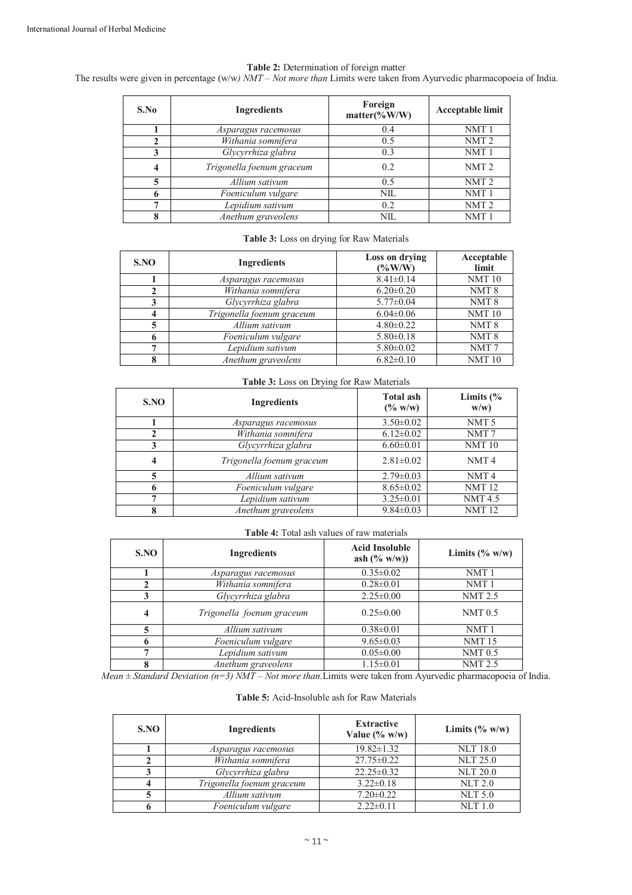### **Table 2:** Determination of foreign matter

The results were given in percentage (w/w*) NMT – Not more than* Limits were taken from Ayurvedic pharmacopoeia of India.

| S.No | <b>Ingredients</b>        | Foreign<br>$matter$ (%W/W) | Acceptable limit |
|------|---------------------------|----------------------------|------------------|
|      | Asparagus racemosus       | 0.4                        | NMT <sub>1</sub> |
| 2    | Withania somnifera        | 0.5                        | NMT <sub>2</sub> |
| 3    | Glycyrrhiza glabra        | 0.3                        | NMT <sub>1</sub> |
| 4    | Trigonella foenum graceum | 0.2                        | NMT <sub>2</sub> |
| 5    | Allium sativum            | 0.5                        | NMT <sub>2</sub> |
| 6    | Foeniculum vulgare        | <b>NIL</b>                 | NMT <sub>1</sub> |
| 7    | Lepidium sativum          | 0.2                        | NMT <sub>2</sub> |
| 8    | Anethum graveolens        | NIL                        | NMT <sub>1</sub> |

## **Table 3:** Loss on drying for Raw Materials

| SNO | Ingredients               | Loss on drying<br>$(\%W/W)$ | Acceptable<br>limit |
|-----|---------------------------|-----------------------------|---------------------|
|     | Asparagus racemosus       | $8.41 \pm 0.14$             | <b>NMT10</b>        |
|     | Withania somnifera        | $6.20 \pm 0.20$             | NMT <sub>8</sub>    |
|     | Glycyrrhiza glabra        | $5.77 \pm 0.04$             | NMT <sub>8</sub>    |
|     | Trigonella foenum graceum | $6.04 \pm 0.06$             | <b>NMT10</b>        |
|     | Allium sativum            | $4.80 \pm 0.22$             | NMT <sub>8</sub>    |
| h   | Foeniculum vulgare        | $5.80\pm0.18$               | NMT <sub>8</sub>    |
| ⇁   | Lepidium sativum          | $5.80 \pm 0.02$             | NMT <sub>7</sub>    |
| 8   | Anethum graveolens        | $6.82 \pm 0.10$             | <b>NMT10</b>        |

#### **Table 3:** Loss on Drying for Raw Materials

| S.NO | $\cdots$ = $\cdots$ $\cdots$ = $\cdots$ $\cdots$ $\cdots$ $\cdots$ $\cdots$ $\cdots$ $\cdots$<br><b>Ingredients</b> | <b>Total ash</b><br>$(\% w/w)$ | Limits $\frac{6}{6}$<br>w/w) |
|------|---------------------------------------------------------------------------------------------------------------------|--------------------------------|------------------------------|
|      | Asparagus racemosus                                                                                                 | $3.50 \pm 0.02$                | NMT <sub>5</sub>             |
|      | Withania somnifera                                                                                                  | $6.12 \pm 0.02$                | NMT7                         |
| 3    | Glycyrrhiza glabra                                                                                                  | $6.60 \pm 0.01$                | <b>NMT10</b>                 |
| 4    | Trigonella foenum graceum                                                                                           | $2.81 \pm 0.02$                | NMT <sub>4</sub>             |
|      | Allium sativum                                                                                                      | $2.79 \pm 0.03$                | NMT <sub>4</sub>             |
|      | Foeniculum vulgare                                                                                                  | $8.65 \pm 0.02$                | <b>NMT12</b>                 |
| −    | Lepidium sativum                                                                                                    | $3.25 \pm 0.01$                | <b>NMT4.5</b>                |
| 8    | Anethum graveolens                                                                                                  | $9.84 \pm 0.03$                | <b>NMT12</b>                 |

## **Table 4:** Total ash values of raw materials

| SNO | <b>Ingredients</b>        | <b>Acid Insoluble</b><br>ash $(\% w/w)$ | Limits $(\% w/w)$  |
|-----|---------------------------|-----------------------------------------|--------------------|
|     | Asparagus racemosus       | $0.35 \pm 0.02$                         | NMT <sub>1</sub>   |
| 2   | Withania somnifera        | $0.28 \pm 0.01$                         | NMT <sub>1</sub>   |
| 3   | Glycyrrhiza glabra        | $2.25 \pm 0.00$                         | <b>NMT 2.5</b>     |
| 4   | Trigonella foenum graceum | $0.25 \pm 0.00$                         | NMT <sub>0.5</sub> |
| 5   | Allium sativum            | $0.38 \pm 0.01$                         | NMT <sub>1</sub>   |
| 6   | Foeniculum vulgare        | $9.65 \pm 0.03$                         | <b>NMT15</b>       |
| ⇁   | Lepidium sativum          | $0.05 \pm 0.00$                         | NMT <sub>0.5</sub> |
| 8   | Anethum graveolens        | $1.15 \pm 0.01$                         | <b>NMT 2.5</b>     |

*Mean ± Standard Deviation (n=3) NMT – Not more than.*Limits were taken from Ayurvedic pharmacopoeia of India.

#### **Table 5:** Acid-Insoluble ash for Raw Materials

| SNO | <b>Ingredients</b>        | <b>Extractive</b><br>Value $(\% w/w)$ | Limits $(\% w/w)$ |
|-----|---------------------------|---------------------------------------|-------------------|
|     | Asparagus racemosus       | $19.82 \pm 1.32$                      | <b>NLT 18.0</b>   |
|     | Withania somnifera        | $27.75 \pm 0.22$                      | <b>NLT 25.0</b>   |
|     | Glycyrrhiza glabra        | $22.25 \pm 0.32$                      | <b>NLT 20.0</b>   |
| 4   | Trigonella foenum graceum | $3.22 \pm 0.18$                       | <b>NLT 2.0</b>    |
|     | Allium sativum            | $7.20 \pm 0.22$                       | <b>NLT 5.0</b>    |
|     | Foeniculum vulgare        | $2.22 \pm 0.11$                       | $NLT$ 1.0         |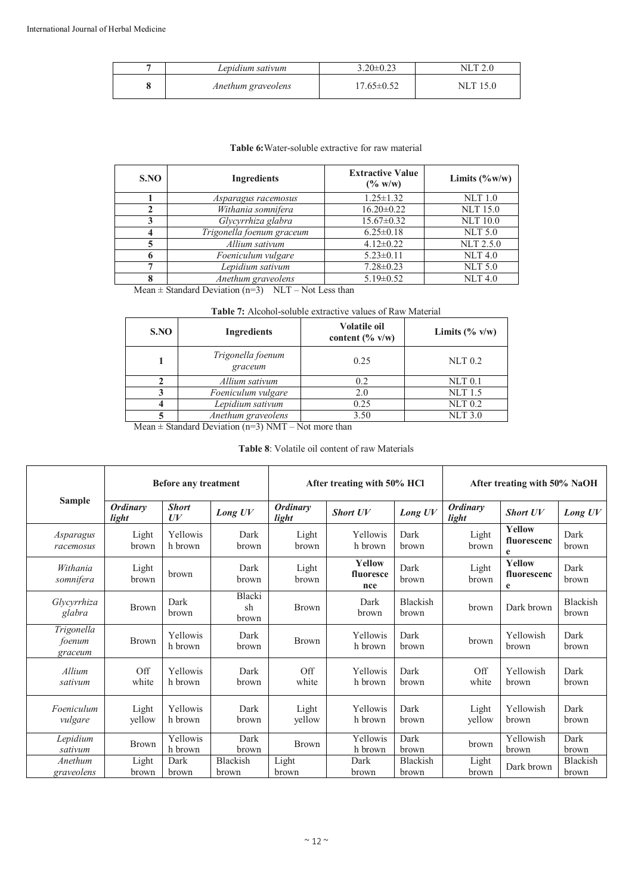| Lepidium sativum   | $3.20 \pm 0.23$ | NI  |
|--------------------|-----------------|-----|
| Anethum graveolens |                 | NIL |

# **Table 6:**Water-soluble extractive for raw material

| SNO | Ingredients               | <b>Extractive Value</b><br>$(\% w/w)$ | Limits $(\%w/w)$ |  |
|-----|---------------------------|---------------------------------------|------------------|--|
|     | Asparagus racemosus       | $1.25 \pm 1.32$                       | <b>NLT</b> 1.0   |  |
|     | Withania somnifera        | $16.20 \pm 0.22$                      | <b>NLT</b> 15.0  |  |
| 3   | Glycyrrhiza glabra        | $15.67 \pm 0.32$                      | <b>NLT 10.0</b>  |  |
|     | Trigonella foenum graceum | $6.25 \pm 0.18$                       | <b>NLT 5.0</b>   |  |
|     | Allium sativum            | $4.12 \pm 0.22$                       | <b>NLT 2.5.0</b> |  |
| O   | Foeniculum vulgare        | $5.23 \pm 0.11$                       | NLT 4.0          |  |
| ⇁   | Lepidium sativum          | $7.28 \pm 0.23$                       | <b>NLT 5.0</b>   |  |
| 8   | Anethum graveolens        | $5.19 \pm 0.52$                       | NLT 4.0          |  |

Mean  $\pm$  Standard Deviation (n=3) NLT – Not Less than

| <b>Table 7:</b> Alcohol-soluble extractive values of Raw Material |  |
|-------------------------------------------------------------------|--|
|-------------------------------------------------------------------|--|

| SNO | <b>Volatile oil</b><br><b>Ingredients</b><br>content $(\% \text{ v/w})$ |      | Limits $(\% \text{ v/w})$ |  |
|-----|-------------------------------------------------------------------------|------|---------------------------|--|
|     | Trigonella foenum<br>graceum                                            | 0.25 | $NLT$ 0.2                 |  |
|     | Allium sativum                                                          | 0.2  | $NLT$ 0.1                 |  |
|     | Foeniculum vulgare                                                      | 2.0  | <b>NLT</b> 1.5            |  |
|     | Lepidium sativum                                                        | 0.25 | $NLT$ 0.2                 |  |
|     | Anethum graveolens                                                      | 3.50 | <b>NLT 3.0</b>            |  |

Mean  $\pm$  Standard Deviation (n=3) NMT – Not more than

# **Table 8**: Volatile oil content of raw Materials

|                                 | <b>Before any treatment</b> |                     |                       | After treating with 50% HCl |                                   |                          | After treating with 50% NaOH |                                   |                          |
|---------------------------------|-----------------------------|---------------------|-----------------------|-----------------------------|-----------------------------------|--------------------------|------------------------------|-----------------------------------|--------------------------|
| <b>Sample</b>                   | <b>Ordinary</b><br>light    | <b>Short</b><br>U V | Long UV               | <b>Ordinary</b><br>light    | <b>Short UV</b>                   | Long UV                  | <b>Ordinary</b><br>light     | <b>Short UV</b>                   | Long UV                  |
| Asparagus<br>racemosus          | Light<br>brown              | Yellowis<br>h brown | Dark<br>brown         | Light<br>brown              | Yellowis<br>h brown               | Dark<br>brown            | Light<br>brown               | Yellow<br>fluorescenc<br>e        | Dark<br>brown            |
| Withania<br>somnifera           | Light<br>brown              | brown               | Dark<br>brown         | Light<br>brown              | <b>Yellow</b><br>fluoresce<br>nce | Dark<br>brown            | Light<br>brown               | <b>Yellow</b><br>fluorescenc<br>e | Dark<br>brown            |
| Glycyrrhiza<br>glabra           | <b>Brown</b>                | Dark<br>brown       | Blacki<br>sh<br>brown | <b>Brown</b>                | Dark<br>brown                     | Blackish<br>brown        | brown                        | Dark brown                        | <b>Blackish</b><br>brown |
| Trigonella<br>foenum<br>graceum | <b>Brown</b>                | Yellowis<br>h brown | Dark<br>brown         | <b>Brown</b>                | Yellowis<br>h brown               | Dark<br>brown            | brown                        | Yellowish<br>brown                | Dark<br><b>brown</b>     |
| Allium<br>sativum               | Off<br>white                | Yellowis<br>h brown | Dark<br>brown         | Off<br>white                | Yellowis<br>h brown               | Dark<br>brown            | Off<br>white                 | Yellowish<br>brown                | Dark<br>brown            |
| Foeniculum<br>vulgare           | Light<br>yellow             | Yellowis<br>h brown | Dark<br>brown         | Light<br>yellow             | Yellowis<br>h brown               | Dark<br>brown            | Light<br>vellow              | Yellowish<br><b>brown</b>         | Dark<br>brown            |
| Lepidium<br>sativum             | <b>Brown</b>                | Yellowis<br>h brown | Dark<br>brown         | <b>Brown</b>                | Yellowis<br>h brown               | Dark<br>brown            | brown                        | Yellowish<br>brown                | Dark<br>brown            |
| Anethum<br>graveolens           | Light<br>brown              | Dark<br>brown       | Blackish<br>brown     | Light<br>brown              | Dark<br>brown                     | <b>Blackish</b><br>brown | Light<br>brown               | Dark brown                        | Blackish<br>brown        |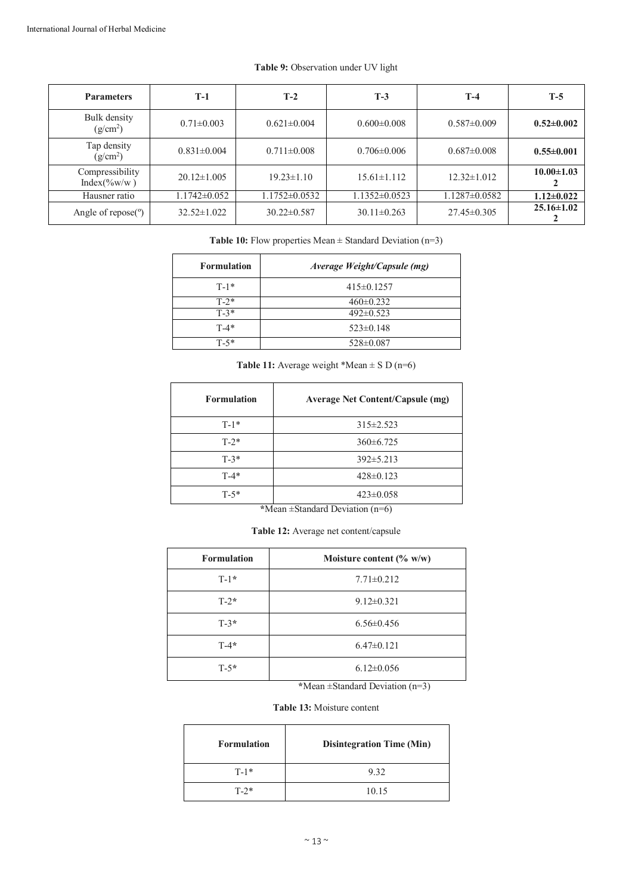| <b>Parameters</b>                   | T-1                | $T-2$               | $T-3$               | $T-4$               | $T-5$            |
|-------------------------------------|--------------------|---------------------|---------------------|---------------------|------------------|
| Bulk density<br>$(g/cm^2)$          | $0.71 \pm 0.003$   | $0.621 \pm 0.004$   | $0.600 \pm 0.008$   | $0.587 \pm 0.009$   | $0.52 \pm 0.002$ |
| Tap density<br>(g/cm <sup>2</sup> ) | $0.831 \pm 0.004$  | $0.711 \pm 0.008$   | $0.706 \pm 0.006$   | $0.687 \pm 0.008$   | $0.55 \pm 0.001$ |
| Compressibility<br>$Index(\%w/w)$   | $20.12 \pm 1.005$  | $19.23 \pm 1.10$    | $15.61 \pm 1.112$   | $12.32\pm1.012$     | $10.00 \pm 1.03$ |
| Hausner ratio                       | $1.1742 \pm 0.052$ | $1.1752 \pm 0.0532$ | $1.1352 \pm 0.0523$ | $1.1287 \pm 0.0582$ | $1.12 \pm 0.022$ |
| Angle of $\text{repose}(\degree)$   | $32.52 \pm 1.022$  | $30.22 \pm 0.587$   | $30.11 \pm 0.263$   | $27.45 \pm 0.305$   | $25.16 \pm 1.02$ |

# **Table 9:** Observation under UV light

Table 10: Flow properties Mean  $\pm$  Standard Deviation (n=3)

| <b>Formulation</b> | Average Weight/Capsule (mg) |
|--------------------|-----------------------------|
| $T-1*$             | $415\pm0.1257$              |
| $T - 2*$           | $460 \pm 0.232$             |
| $T-3*$             | $492 \pm 0.523$             |
| $T-4*$             | $523\pm0.148$               |
| T-5*               | 528±0.087                   |

**Table 11:** Average weight \*Mean  $\pm$  S D (n=6)

| <b>Formulation</b> | <b>Average Net Content/Capsule (mg)</b> |
|--------------------|-----------------------------------------|
| $T-1*$             | $315 \pm 2.523$                         |
| $T-2*$             | $360\pm 6.725$                          |
| $T-3*$             | $392 \pm 5.213$                         |
| $T-4*$             | $428 \pm 0.123$                         |
| $T-5*$             | $423 \pm 0.058$                         |

**\***Mean ±Standard Deviation (n=6)

| Table 12: Average net content/capsule |  |  |  |
|---------------------------------------|--|--|--|
|---------------------------------------|--|--|--|

| <b>Formulation</b> | Moisture content $(\% w/w)$ |  |  |
|--------------------|-----------------------------|--|--|
| $T-1*$             | $7.71 \pm 0.212$            |  |  |
| $T-2*$             | $9.12 \pm 0.321$            |  |  |
| $T-3*$             | $6.56 \pm 0.456$            |  |  |
| $T-4*$             | $6.47\pm0.121$              |  |  |
| $T - 5*$           | $6.12 \pm 0.056$            |  |  |

**\***Mean ±Standard Deviation (n=3)

# **Table 13:** Moisture content

| <b>Formulation</b> | <b>Disintegration Time (Min)</b> |  |  |
|--------------------|----------------------------------|--|--|
| $T-1*$             | 9.32                             |  |  |
| $T-2*$             | 10.15                            |  |  |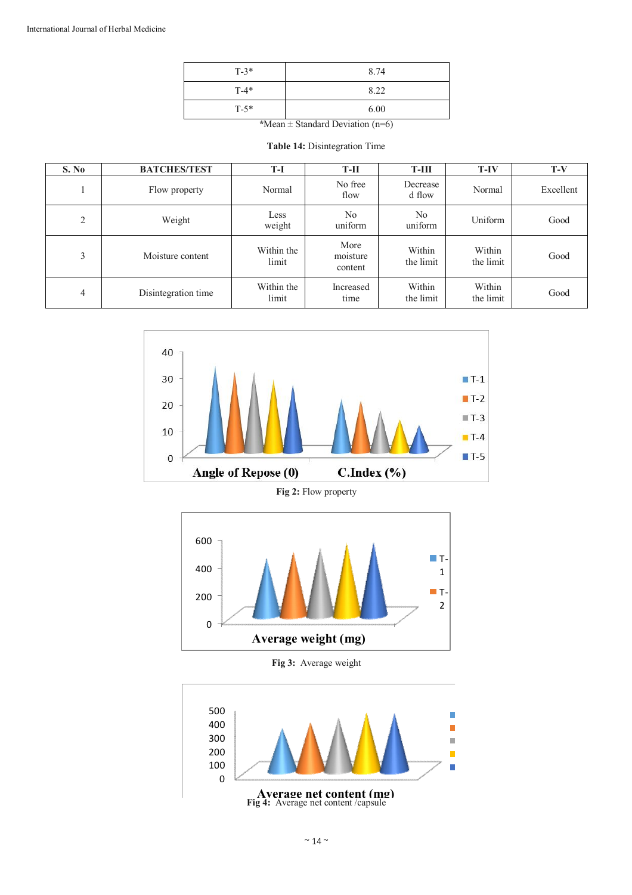| $T-3*$ | 8.74 |
|--------|------|
| $T-4*$ | 8.22 |
| $T-5*$ | 6.00 |

*\**Mean ± Standard Deviation (n=6)

**Table 14:** Disintegration Time

| S. No | <b>BATCHES/TEST</b> | T-I                 | $T-II$                      | T-III                     | $T-IV$              | $T-V$     |
|-------|---------------------|---------------------|-----------------------------|---------------------------|---------------------|-----------|
|       | Flow property       | Normal              | No free<br>flow             | Decrease<br>d flow        | Normal              | Excellent |
| 2     | Weight              | Less<br>weight      | N <sub>0</sub><br>uniform   | N <sub>0</sub><br>uniform | Uniform             | Good      |
| 3     | Moisture content    | Within the<br>limit | More<br>moisture<br>content | Within<br>the limit       | Within<br>the limit | Good      |
| 4     | Disintegration time | Within the<br>limit | Increased<br>time           | Within<br>the limit       | Within<br>the limit | Good      |



**Fig 2:** Flow property



**Fig 3:** Average weight

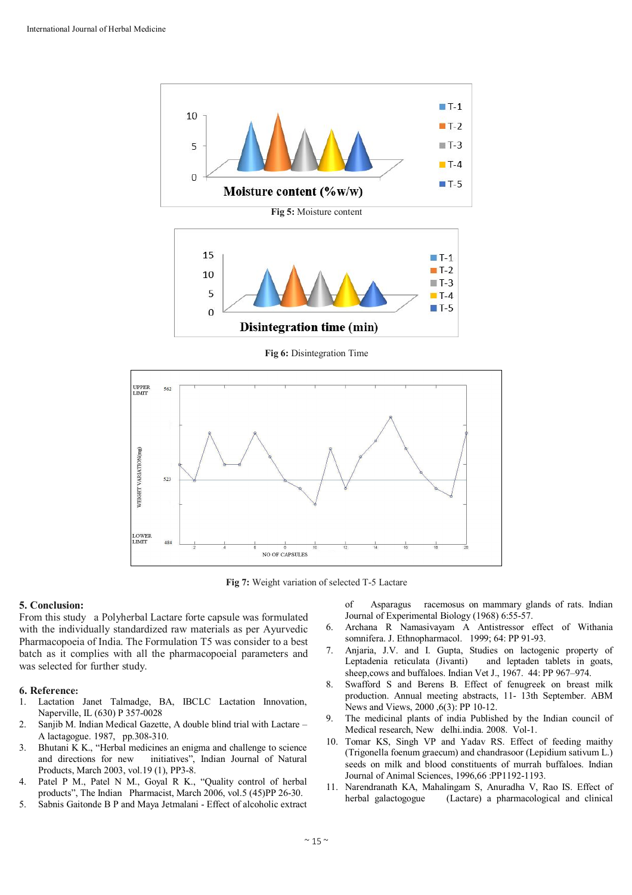

**Fig 6:** Disintegration Time



**Fig 7:** Weight variation of selected T-5 Lactare

#### **5. Conclusion:**

From this study a Polyherbal Lactare forte capsule was formulated with the individually standardized raw materials as per Ayurvedic Pharmacopoeia of India. The Formulation T5 was consider to a best batch as it complies with all the pharmacopoeial parameters and was selected for further study.

#### **6. Reference:**

- 1. Lactation Janet Talmadge, BA, IBCLC Lactation Innovation, Naperville, IL (630) P 357-0028
- 2. Sanjib M. Indian Medical Gazette, A double blind trial with Lactare A lactagogue. 1987, pp.308-310.
- 3. Bhutani K K., "Herbal medicines an enigma and challenge to science and directions for new initiatives", Indian Journal of Natural Products, March 2003, vol.19 (1), PP3-8.
- 4. Patel P M., Patel N M., Goyal R K., "Quality control of herbal products", The Indian Pharmacist, March 2006, vol.5 (45)PP 26-30.
- 5. Sabnis Gaitonde B P and Maya Jetmalani Effect of alcoholic extract

of Asparagus racemosus on mammary glands of rats. Indian Journal of Experimental Biology (1968) 6:55-57.

- 6. Archana R Namasivayam A Antistressor effect of Withania somnifera. J. Ethnopharmacol. 1999; 64: PP 91-93.
- 7. Anjaria, J.V. and I. Gupta, Studies on lactogenic property of Leptadenia reticulata (Jivanti) and leptaden tablets in goats, sheep,cows and buffaloes. Indian Vet J., 1967. 44: PP 967–974.
- 8. Swafford S and Berens B. Effect of fenugreek on breast milk production. Annual meeting abstracts, 11- 13th September. ABM News and Views, 2000 ,6(3): PP 10-12.
- 9. The medicinal plants of india Published by the Indian council of Medical research, New delhi.india. 2008. Vol-1.
- 10. Tomar KS, Singh VP and Yadav RS. Effect of feeding maithy (Trigonella foenum graecum) and chandrasoor (Lepidium sativum L.) seeds on milk and blood constituents of murrah buffaloes. Indian Journal of Animal Sciences, 1996,66 :PP1192-1193.
- 11. Narendranath KA, Mahalingam S, Anuradha V, Rao IS. Effect of herbal galactogogue (Lactare) a pharmacological and clinical